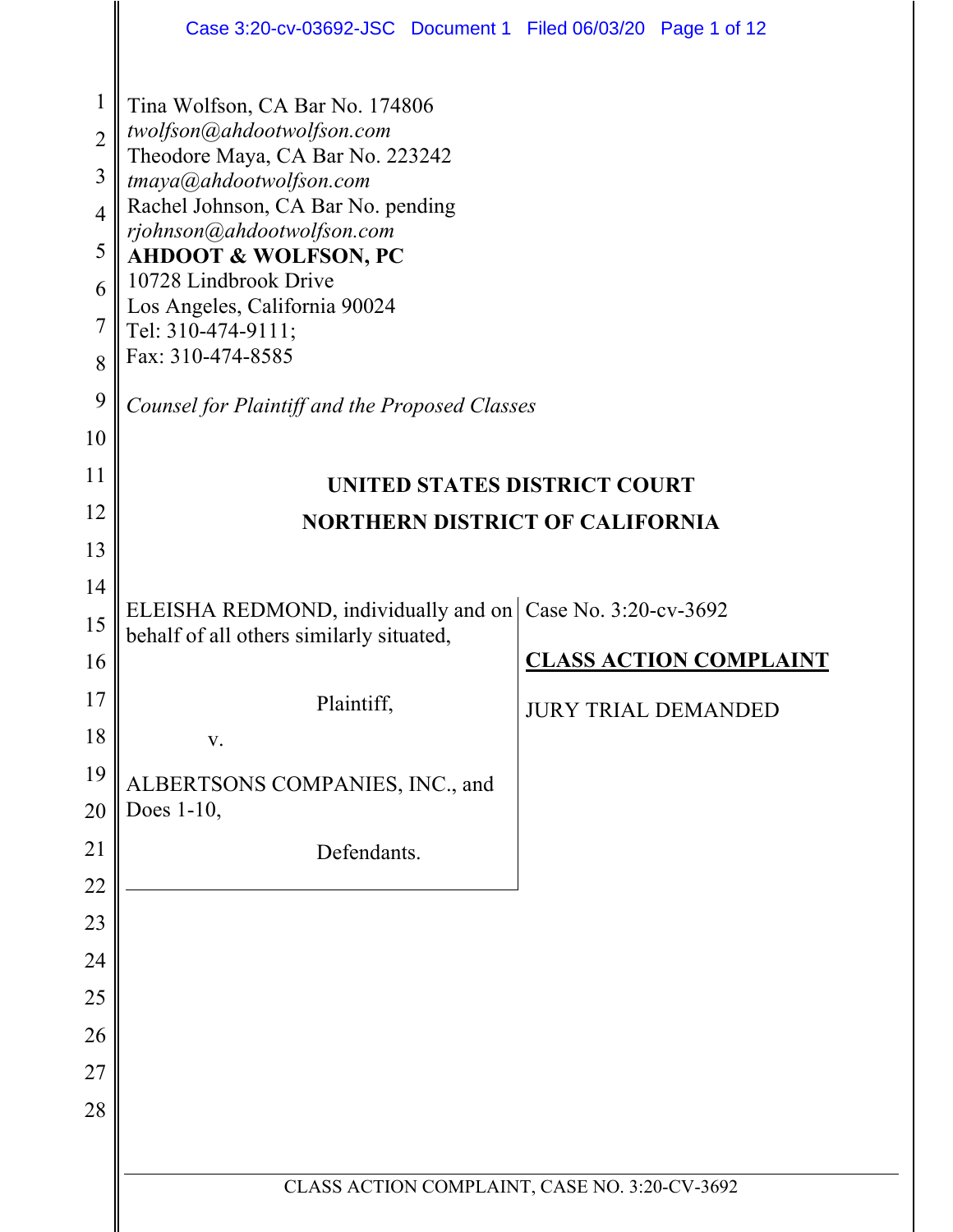|                                | Case 3:20-cv-03692-JSC Document 1 Filed 06/03/20 Page 1 of 12 |                            |                               |  |  |  |  |  |  |  |  |  |
|--------------------------------|---------------------------------------------------------------|----------------------------|-------------------------------|--|--|--|--|--|--|--|--|--|
| $\mathbf{1}$<br>$\overline{2}$ | Tina Wolfson, CA Bar No. 174806<br>twolfson@ahdootwolfson.com |                            |                               |  |  |  |  |  |  |  |  |  |
| 3                              | Theodore Maya, CA Bar No. 223242                              |                            |                               |  |  |  |  |  |  |  |  |  |
| $\overline{4}$                 | tmaya@ahdootwolfson.com<br>Rachel Johnson, CA Bar No. pending |                            |                               |  |  |  |  |  |  |  |  |  |
| 5                              | rjohnson@ahdootwolfson.com                                    |                            |                               |  |  |  |  |  |  |  |  |  |
| 6                              | <b>AHDOOT &amp; WOLFSON, PC</b><br>10728 Lindbrook Drive      |                            |                               |  |  |  |  |  |  |  |  |  |
| 7                              | Los Angeles, California 90024<br>Tel: 310-474-9111;           |                            |                               |  |  |  |  |  |  |  |  |  |
| 8                              | Fax: 310-474-8585                                             |                            |                               |  |  |  |  |  |  |  |  |  |
| 9                              | Counsel for Plaintiff and the Proposed Classes                |                            |                               |  |  |  |  |  |  |  |  |  |
| 10                             |                                                               |                            |                               |  |  |  |  |  |  |  |  |  |
| 11                             | UNITED STATES DISTRICT COURT                                  |                            |                               |  |  |  |  |  |  |  |  |  |
| 12                             | <b>NORTHERN DISTRICT OF CALIFORNIA</b>                        |                            |                               |  |  |  |  |  |  |  |  |  |
| 13                             |                                                               |                            |                               |  |  |  |  |  |  |  |  |  |
| 14                             | ELEISHA REDMOND, individually and on Case No. 3:20-cv-3692    |                            |                               |  |  |  |  |  |  |  |  |  |
| 15                             | behalf of all others similarly situated,                      |                            |                               |  |  |  |  |  |  |  |  |  |
| 16                             |                                                               |                            | <b>CLASS ACTION COMPLAINT</b> |  |  |  |  |  |  |  |  |  |
| 17                             | Plaintiff,                                                    | <b>JURY TRIAL DEMANDED</b> |                               |  |  |  |  |  |  |  |  |  |
| 18                             | V.                                                            |                            |                               |  |  |  |  |  |  |  |  |  |
| 19                             | ALBERTSONS COMPANIES, INC., and                               |                            |                               |  |  |  |  |  |  |  |  |  |
| 20                             | Does $1-10$ ,                                                 |                            |                               |  |  |  |  |  |  |  |  |  |
| 21                             | Defendants.                                                   |                            |                               |  |  |  |  |  |  |  |  |  |
| 22                             |                                                               |                            |                               |  |  |  |  |  |  |  |  |  |
| 23                             |                                                               |                            |                               |  |  |  |  |  |  |  |  |  |
| 24<br>25                       |                                                               |                            |                               |  |  |  |  |  |  |  |  |  |
| 26                             |                                                               |                            |                               |  |  |  |  |  |  |  |  |  |
| 27                             |                                                               |                            |                               |  |  |  |  |  |  |  |  |  |
| 28                             |                                                               |                            |                               |  |  |  |  |  |  |  |  |  |
|                                |                                                               |                            |                               |  |  |  |  |  |  |  |  |  |
|                                | CLASS ACTION COMPLAINT, CASE NO. 3:20-CV-3692                 |                            |                               |  |  |  |  |  |  |  |  |  |
|                                |                                                               |                            |                               |  |  |  |  |  |  |  |  |  |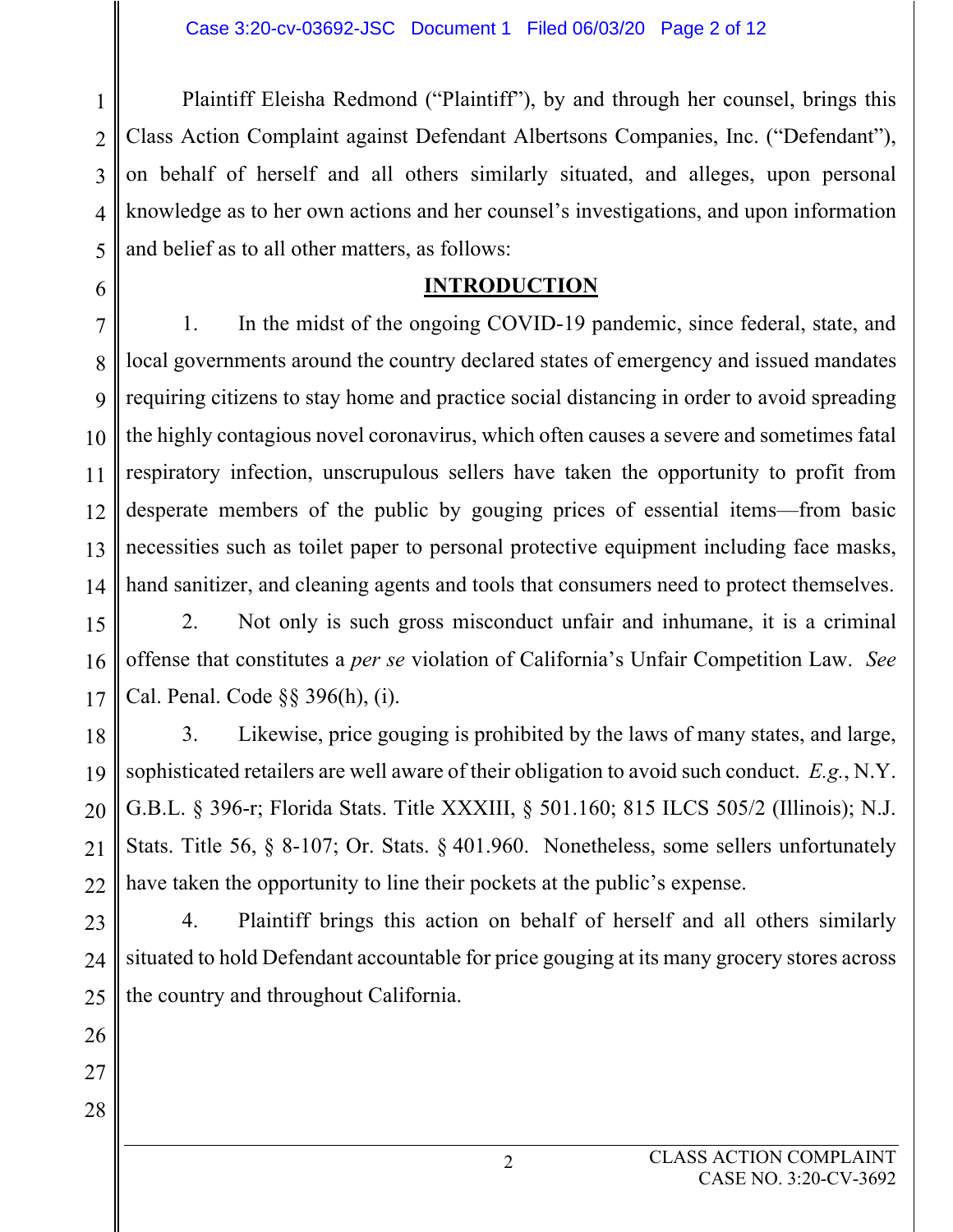1  $\mathfrak{D}$ 3 4 5 Plaintiff Eleisha Redmond ("Plaintiff"), by and through her counsel, brings this Class Action Complaint against Defendant Albertsons Companies, Inc. ("Defendant"), on behalf of herself and all others similarly situated, and alleges, upon personal knowledge as to her own actions and her counsel's investigations, and upon information and belief as to all other matters, as follows:

### **INTRODUCTION**

7 8 9 10 11 12 13 14 1. In the midst of the ongoing COVID-19 pandemic, since federal, state, and local governments around the country declared states of emergency and issued mandates requiring citizens to stay home and practice social distancing in order to avoid spreading the highly contagious novel coronavirus, which often causes a severe and sometimes fatal respiratory infection, unscrupulous sellers have taken the opportunity to profit from desperate members of the public by gouging prices of essential items—from basic necessities such as toilet paper to personal protective equipment including face masks, hand sanitizer, and cleaning agents and tools that consumers need to protect themselves.

15 16 17 2. Not only is such gross misconduct unfair and inhumane, it is a criminal offense that constitutes a *per se* violation of California's Unfair Competition Law. *See*  Cal. Penal. Code §§ 396(h), (i).

18 19 20 21 22 3. Likewise, price gouging is prohibited by the laws of many states, and large, sophisticated retailers are well aware of their obligation to avoid such conduct. *E.g.*, N.Y. G.B.L. § 396-r; Florida Stats. Title XXXIII, § 501.160; 815 ILCS 505/2 (Illinois); N.J. Stats. Title 56, § 8-107; Or. Stats. § 401.960. Nonetheless, some sellers unfortunately have taken the opportunity to line their pockets at the public's expense.

23 24 25 4. Plaintiff brings this action on behalf of herself and all others similarly situated to hold Defendant accountable for price gouging at its many grocery stores across the country and throughout California.

26

6

27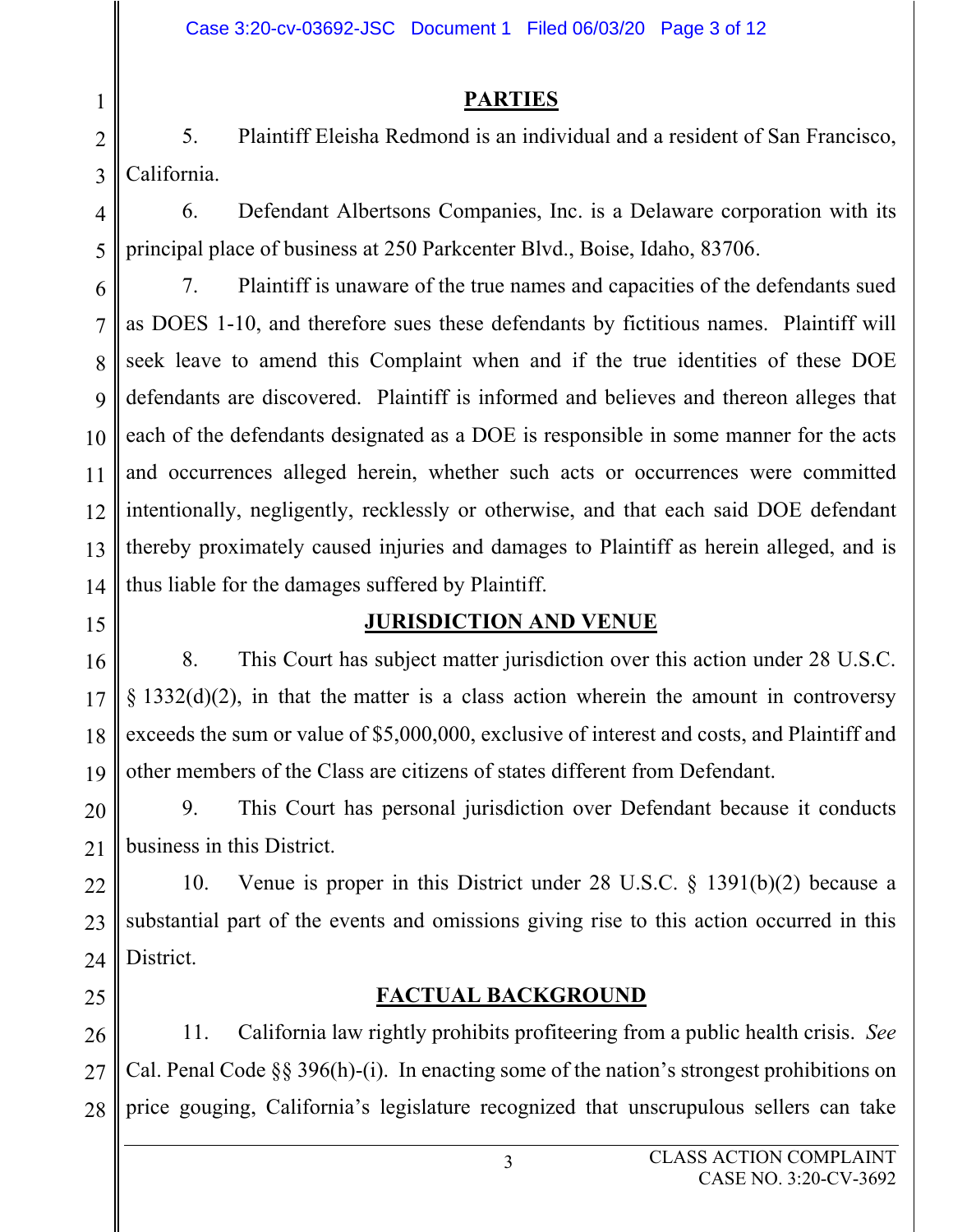### **PARTIES**

2 3 5. Plaintiff Eleisha Redmond is an individual and a resident of San Francisco, California.

4

5

1

6. Defendant Albertsons Companies, Inc. is a Delaware corporation with its principal place of business at 250 Parkcenter Blvd., Boise, Idaho, 83706.

6 7 8 9 10 11 12 13 14 7. Plaintiff is unaware of the true names and capacities of the defendants sued as DOES 1-10, and therefore sues these defendants by fictitious names. Plaintiff will seek leave to amend this Complaint when and if the true identities of these DOE defendants are discovered. Plaintiff is informed and believes and thereon alleges that each of the defendants designated as a DOE is responsible in some manner for the acts and occurrences alleged herein, whether such acts or occurrences were committed intentionally, negligently, recklessly or otherwise, and that each said DOE defendant thereby proximately caused injuries and damages to Plaintiff as herein alleged, and is thus liable for the damages suffered by Plaintiff.

- 15
- 16

# **JURISDICTION AND VENUE**

17 18 19 8. This Court has subject matter jurisdiction over this action under 28 U.S.C.  $\S$  1332(d)(2), in that the matter is a class action wherein the amount in controversy exceeds the sum or value of \$5,000,000, exclusive of interest and costs, and Plaintiff and other members of the Class are citizens of states different from Defendant.

20 21 9. This Court has personal jurisdiction over Defendant because it conducts business in this District.

22 23 24 10. Venue is proper in this District under 28 U.S.C. § 1391(b)(2) because a substantial part of the events and omissions giving rise to this action occurred in this District.

25

### **FACTUAL BACKGROUND**

26 27 28 11. California law rightly prohibits profiteering from a public health crisis. *See* Cal. Penal Code §§ 396(h)-(i). In enacting some of the nation's strongest prohibitions on price gouging, California's legislature recognized that unscrupulous sellers can take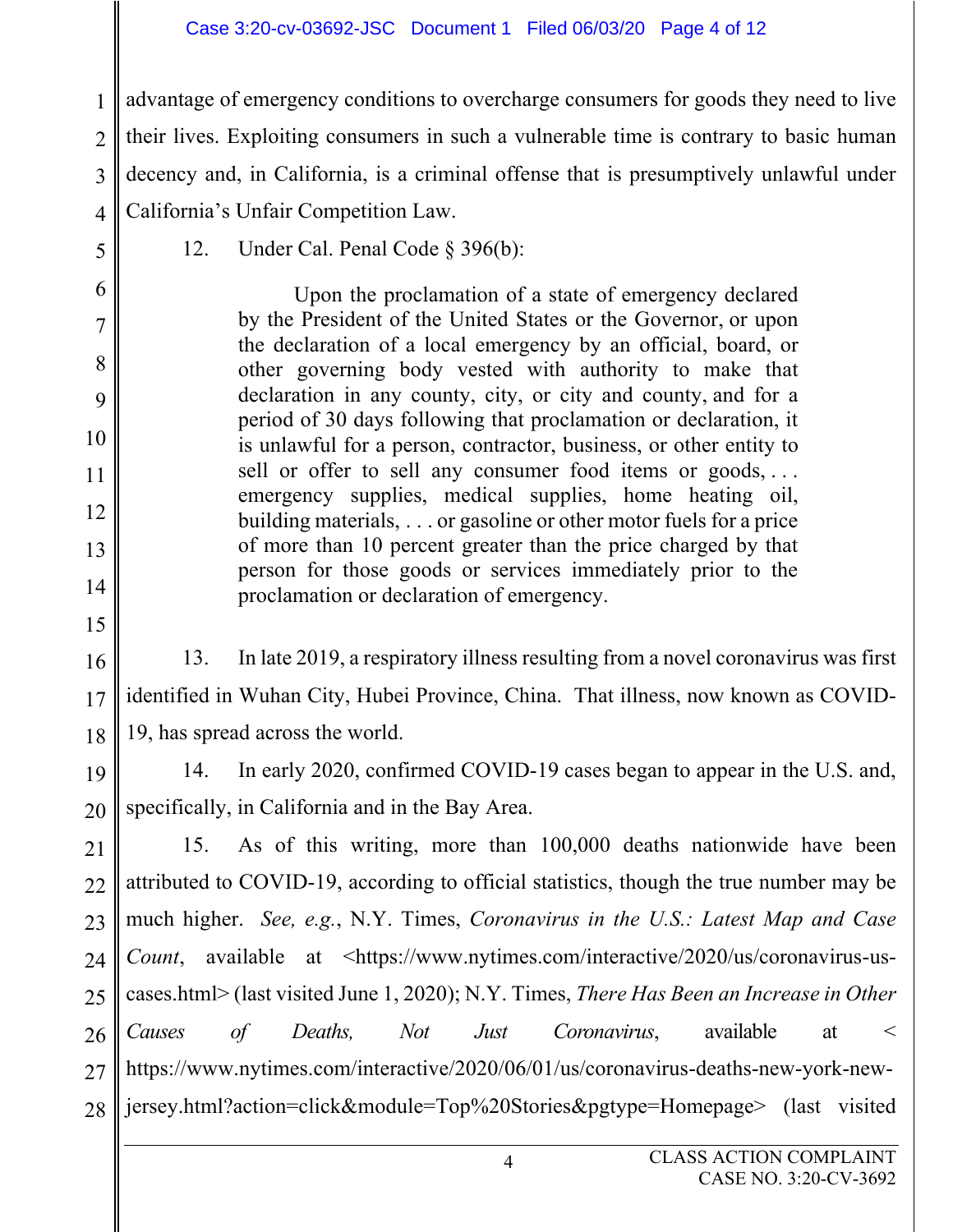#### Case 3:20-cv-03692-JSC Document 1 Filed 06/03/20 Page 4 of 12

1  $\mathcal{D}_{\mathcal{L}}$ 3 4 advantage of emergency conditions to overcharge consumers for goods they need to live their lives. Exploiting consumers in such a vulnerable time is contrary to basic human decency and, in California, is a criminal offense that is presumptively unlawful under California's Unfair Competition Law.

- 12. Under Cal. Penal Code § 396(b): Upon the proclamation of a state of emergency declared by the President of the United States or the Governor, or upon the declaration of a local emergency by an official, board, or other governing body vested with authority to make that declaration in any county, city, or city and county, and for a period of 30 days following that proclamation or declaration, it is unlawful for a person, contractor, business, or other entity to sell or offer to sell any consumer food items or goods,... emergency supplies, medical supplies, home heating oil, building materials, . . . or gasoline or other motor fuels for a price of more than 10 percent greater than the price charged by that person for those goods or services immediately prior to the proclamation or declaration of emergency.
- 16 17 18 13. In late 2019, a respiratory illness resulting from a novel coronavirus was first identified in Wuhan City, Hubei Province, China. That illness, now known as COVID-19, has spread across the world.
- 19

5

6

7

8

9

10

11

12

13

14

15

20 14. In early 2020, confirmed COVID-19 cases began to appear in the U.S. and, specifically, in California and in the Bay Area.

21 22 23 24 25 26 27 28 15. As of this writing, more than 100,000 deaths nationwide have been attributed to COVID-19, according to official statistics, though the true number may be much higher. *See, e.g.*, N.Y. Times, *Coronavirus in the U.S.: Latest Map and Case Count*, available at <https://www.nytimes.com/interactive/2020/us/coronavirus-uscases.html> (last visited June 1, 2020); N.Y. Times, *There Has Been an Increase in Other Causes of Deaths, Not Just Coronavirus*, available at < https://www.nytimes.com/interactive/2020/06/01/us/coronavirus-deaths-new-york-newjersey.html?action=click&module=Top%20Stories&pgtype=Homepage> (last visited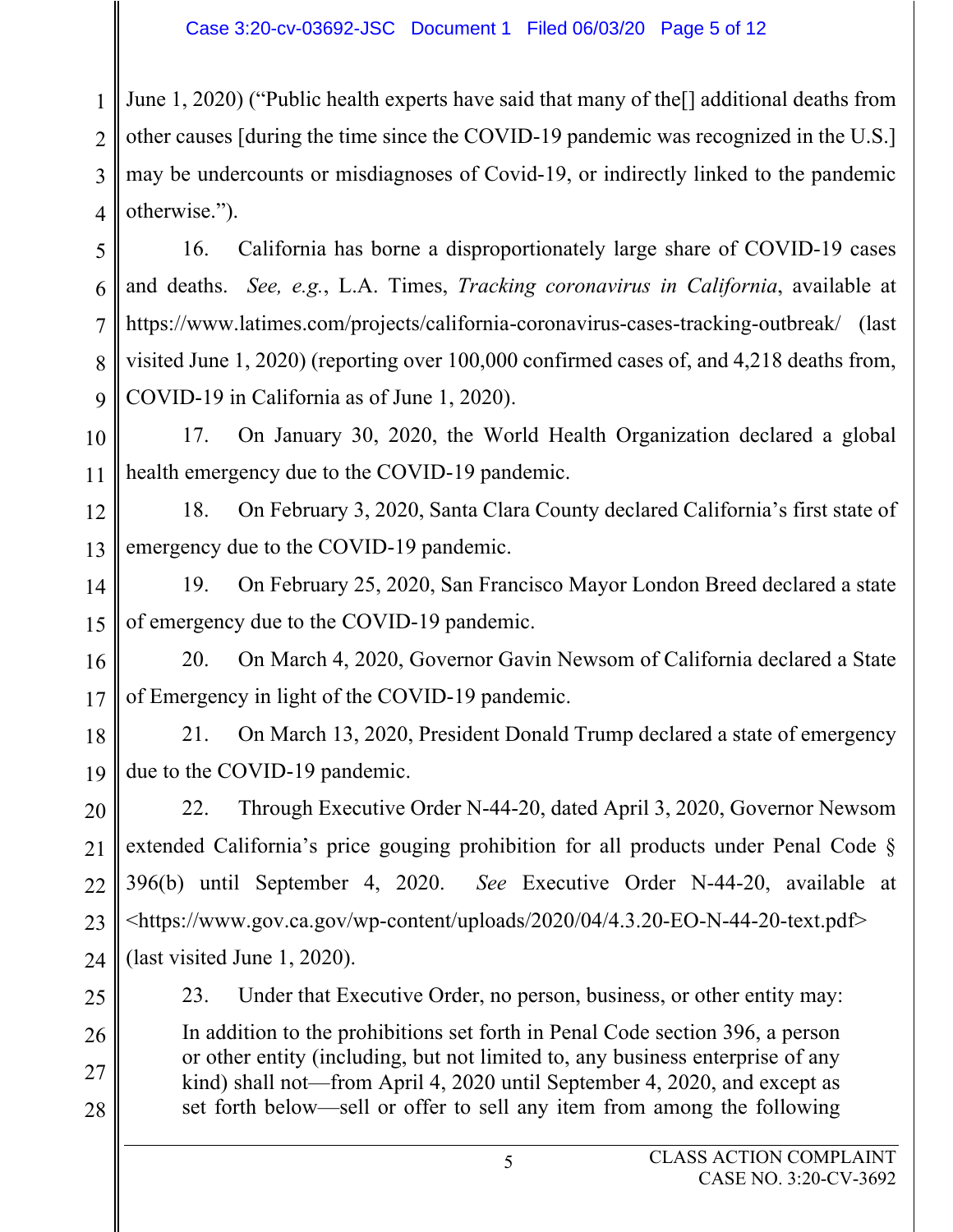1  $\mathfrak{D}$ 3 4 June 1, 2020) ("Public health experts have said that many of the[] additional deaths from other causes [during the time since the COVID-19 pandemic was recognized in the U.S.] may be undercounts or misdiagnoses of Covid-19, or indirectly linked to the pandemic otherwise.").

5 6 7 8 9 16. California has borne a disproportionately large share of COVID-19 cases and deaths. *See, e.g.*, L.A. Times, *Tracking coronavirus in California*, available at https://www.latimes.com/projects/california-coronavirus-cases-tracking-outbreak/ (last visited June 1, 2020) (reporting over 100,000 confirmed cases of, and 4,218 deaths from, COVID-19 in California as of June 1, 2020).

10 11 17. On January 30, 2020, the World Health Organization declared a global health emergency due to the COVID-19 pandemic.

12 13 18. On February 3, 2020, Santa Clara County declared California's first state of emergency due to the COVID-19 pandemic.

14 15 19. On February 25, 2020, San Francisco Mayor London Breed declared a state of emergency due to the COVID-19 pandemic.

16 17 20. On March 4, 2020, Governor Gavin Newsom of California declared a State of Emergency in light of the COVID-19 pandemic.

18 19 21. On March 13, 2020, President Donald Trump declared a state of emergency due to the COVID-19 pandemic.

20 21 22 23 24 22. Through Executive Order N-44-20, dated April 3, 2020, Governor Newsom extended California's price gouging prohibition for all products under Penal Code § 396(b) until September 4, 2020. *See* Executive Order N-44-20, available at <https://www.gov.ca.gov/wp-content/uploads/2020/04/4.3.20-EO-N-44-20-text.pdf> (last visited June 1, 2020).

25

23. Under that Executive Order, no person, business, or other entity may:

26 27 28 In addition to the prohibitions set forth in Penal Code section 396, a person or other entity (including, but not limited to, any business enterprise of any kind) shall not—from April 4, 2020 until September 4, 2020, and except as set forth below—sell or offer to sell any item from among the following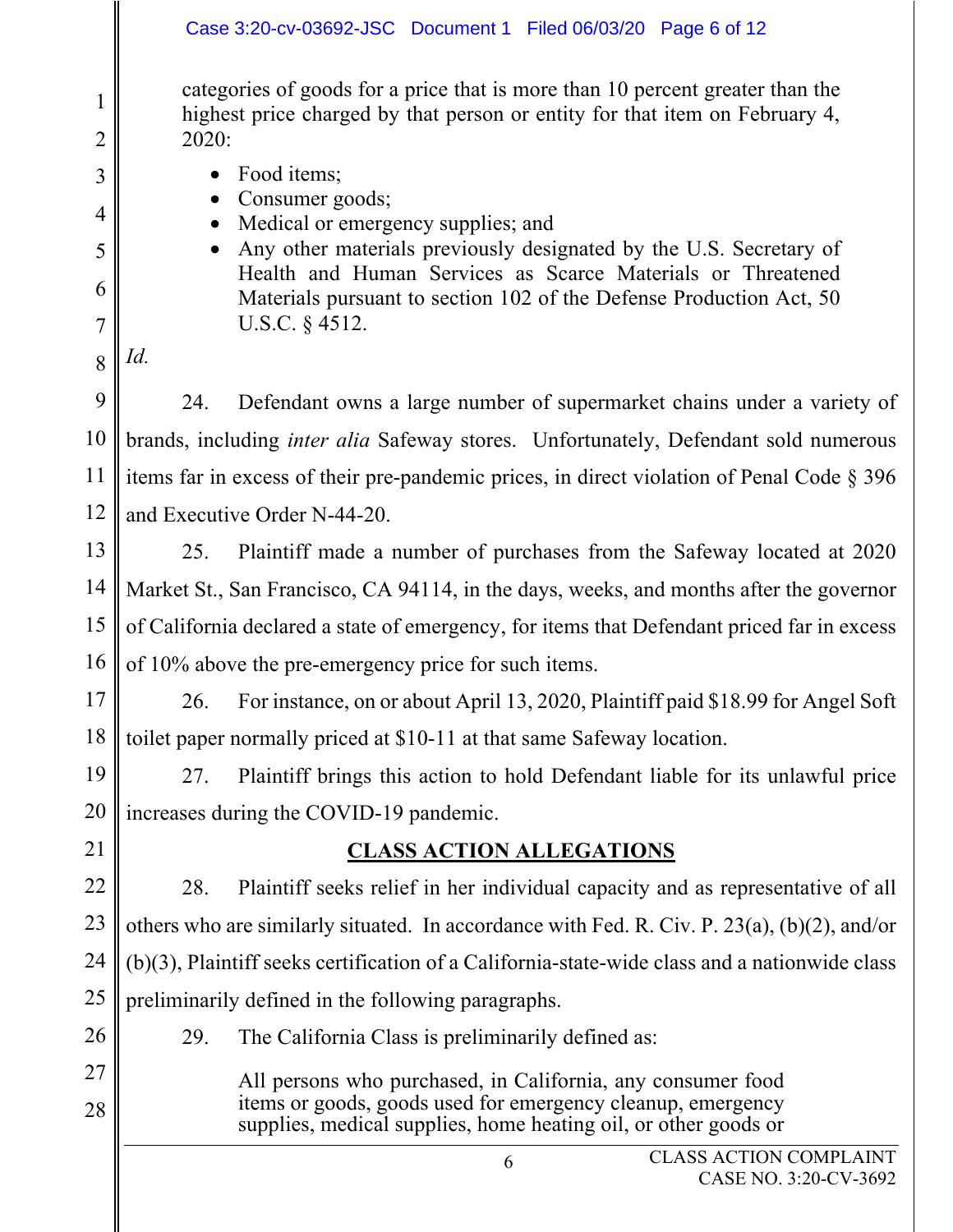|                                | Case 3:20-cv-03692-JSC Document 1 Filed 06/03/20 Page 6 of 12                                                                                                         |  |  |  |  |  |  |  |
|--------------------------------|-----------------------------------------------------------------------------------------------------------------------------------------------------------------------|--|--|--|--|--|--|--|
| $\mathbf{1}$<br>$\overline{2}$ | categories of goods for a price that is more than 10 percent greater than the<br>highest price charged by that person or entity for that item on February 4,<br>2020: |  |  |  |  |  |  |  |
| 3                              | Food items;                                                                                                                                                           |  |  |  |  |  |  |  |
| 4                              | Consumer goods;                                                                                                                                                       |  |  |  |  |  |  |  |
| 5                              | Medical or emergency supplies; and<br>Any other materials previously designated by the U.S. Secretary of                                                              |  |  |  |  |  |  |  |
| 6                              | Health and Human Services as Scarce Materials or Threatened<br>Materials pursuant to section 102 of the Defense Production Act, 50                                    |  |  |  |  |  |  |  |
| $\overline{7}$                 | U.S.C. § 4512.                                                                                                                                                        |  |  |  |  |  |  |  |
| 8                              | Id.                                                                                                                                                                   |  |  |  |  |  |  |  |
| 9                              | 24.<br>Defendant owns a large number of supermarket chains under a variety of                                                                                         |  |  |  |  |  |  |  |
| 10                             | brands, including <i>inter alia</i> Safeway stores. Unfortunately, Defendant sold numerous                                                                            |  |  |  |  |  |  |  |
| 11                             | items far in excess of their pre-pandemic prices, in direct violation of Penal Code $\S 396$                                                                          |  |  |  |  |  |  |  |
| 12                             | and Executive Order N-44-20.                                                                                                                                          |  |  |  |  |  |  |  |
| 13                             | Plaintiff made a number of purchases from the Safeway located at 2020<br>25.                                                                                          |  |  |  |  |  |  |  |
| 14                             | Market St., San Francisco, CA 94114, in the days, weeks, and months after the governor                                                                                |  |  |  |  |  |  |  |
| 15                             | of California declared a state of emergency, for items that Defendant priced far in excess                                                                            |  |  |  |  |  |  |  |
| 16                             | of 10% above the pre-emergency price for such items.                                                                                                                  |  |  |  |  |  |  |  |
| 17                             | 26. For instance, on or about April 13, 2020, Plaintiff paid \$18.99 for Angel Soft                                                                                   |  |  |  |  |  |  |  |
| 18                             | toilet paper normally priced at \$10-11 at that same Safeway location.                                                                                                |  |  |  |  |  |  |  |
| 19                             | Plaintiff brings this action to hold Defendant liable for its unlawful price<br>27.                                                                                   |  |  |  |  |  |  |  |
| 20                             | increases during the COVID-19 pandemic.                                                                                                                               |  |  |  |  |  |  |  |
| 21                             | <b>CLASS ACTION ALLEGATIONS</b>                                                                                                                                       |  |  |  |  |  |  |  |
| 22                             | Plaintiff seeks relief in her individual capacity and as representative of all<br>28.                                                                                 |  |  |  |  |  |  |  |
| 23                             | others who are similarly situated. In accordance with Fed. R. Civ. P. $23(a)$ , (b)(2), and/or                                                                        |  |  |  |  |  |  |  |
| 24                             | $(b)(3)$ , Plaintiff seeks certification of a California-state-wide class and a nationwide class                                                                      |  |  |  |  |  |  |  |
| 25                             | preliminarily defined in the following paragraphs.                                                                                                                    |  |  |  |  |  |  |  |
| 26                             | The California Class is preliminarily defined as:<br>29.                                                                                                              |  |  |  |  |  |  |  |
| 27                             | All persons who purchased, in California, any consumer food                                                                                                           |  |  |  |  |  |  |  |
| 28                             | items or goods, goods used for emergency cleanup, emergency<br>supplies, medical supplies, home heating oil, or other goods or                                        |  |  |  |  |  |  |  |
|                                | <b>CLASS ACTION COMPLAINT</b><br>6                                                                                                                                    |  |  |  |  |  |  |  |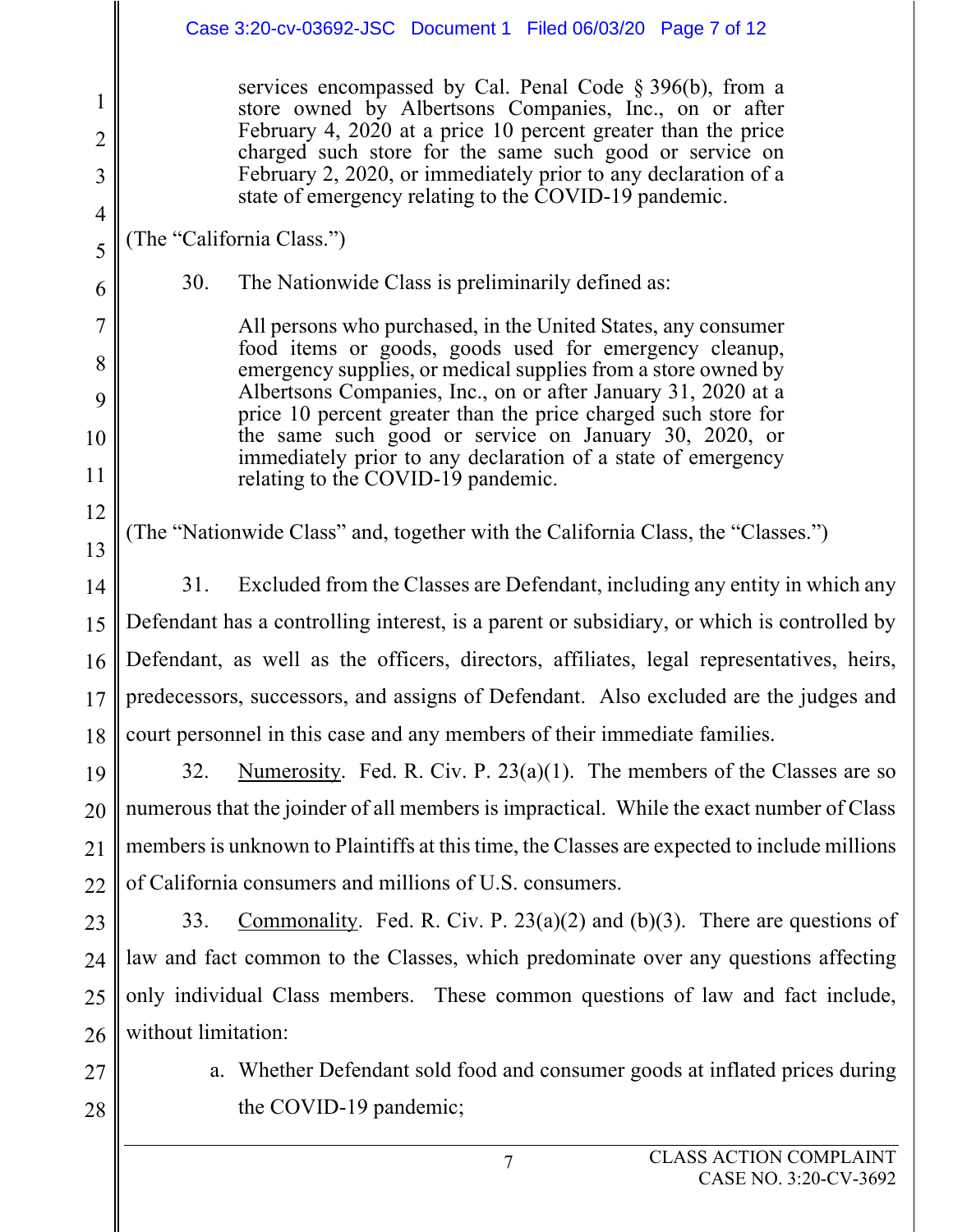|                                            | Case 3:20-cv-03692-JSC Document 1 Filed 06/03/20 Page 7 of 12                                                                                                                                                                                                                                                                                                                 |  |  |  |  |  |  |  |
|--------------------------------------------|-------------------------------------------------------------------------------------------------------------------------------------------------------------------------------------------------------------------------------------------------------------------------------------------------------------------------------------------------------------------------------|--|--|--|--|--|--|--|
| 1<br>$\overline{2}$<br>3<br>$\overline{4}$ | services encompassed by Cal. Penal Code $\S 396(b)$ , from a<br>store owned by Albertsons Companies, Inc., on or after<br>February 4, 2020 at a price 10 percent greater than the price<br>charged such store for the same such good or service on<br>February 2, 2020, or immediately prior to any declaration of a<br>state of emergency relating to the COVID-19 pandemic. |  |  |  |  |  |  |  |
| 5                                          | (The "California Class.")                                                                                                                                                                                                                                                                                                                                                     |  |  |  |  |  |  |  |
| 6                                          | 30.<br>The Nationwide Class is preliminarily defined as:                                                                                                                                                                                                                                                                                                                      |  |  |  |  |  |  |  |
| $\overline{7}$                             | All persons who purchased, in the United States, any consumer                                                                                                                                                                                                                                                                                                                 |  |  |  |  |  |  |  |
| 8                                          | food items or goods, goods used for emergency cleanup,<br>emergency supplies, or medical supplies from a store owned by                                                                                                                                                                                                                                                       |  |  |  |  |  |  |  |
| 9                                          | Albertsons Companies, Inc., on or after January 31, 2020 at a<br>price 10 percent greater than the price charged such store for                                                                                                                                                                                                                                               |  |  |  |  |  |  |  |
| 10                                         | the same such good or service on January 30, 2020, or<br>immediately prior to any declaration of a state of emergency                                                                                                                                                                                                                                                         |  |  |  |  |  |  |  |
| 11                                         | relating to the COVID-19 pandemic.                                                                                                                                                                                                                                                                                                                                            |  |  |  |  |  |  |  |
| 12<br>13                                   | (The "Nationwide Class" and, together with the California Class, the "Classes.")                                                                                                                                                                                                                                                                                              |  |  |  |  |  |  |  |
| 14                                         | 31.<br>Excluded from the Classes are Defendant, including any entity in which any                                                                                                                                                                                                                                                                                             |  |  |  |  |  |  |  |
| 15                                         | Defendant has a controlling interest, is a parent or subsidiary, or which is controlled by                                                                                                                                                                                                                                                                                    |  |  |  |  |  |  |  |
| 16                                         | Defendant, as well as the officers, directors, affiliates, legal representatives, heirs,                                                                                                                                                                                                                                                                                      |  |  |  |  |  |  |  |
|                                            | 17    predecessors, successors, and assigns of Defendant. Also excluded are the judges and                                                                                                                                                                                                                                                                                    |  |  |  |  |  |  |  |
| 18                                         | court personnel in this case and any members of their immediate families.                                                                                                                                                                                                                                                                                                     |  |  |  |  |  |  |  |
| 19                                         | Numerosity. Fed. R. Civ. P. $23(a)(1)$ . The members of the Classes are so<br>32.                                                                                                                                                                                                                                                                                             |  |  |  |  |  |  |  |
| 20                                         | numerous that the joinder of all members is impractical. While the exact number of Class                                                                                                                                                                                                                                                                                      |  |  |  |  |  |  |  |
| 21                                         | members is unknown to Plaintiffs at this time, the Classes are expected to include millions                                                                                                                                                                                                                                                                                   |  |  |  |  |  |  |  |
| 22                                         | of California consumers and millions of U.S. consumers.                                                                                                                                                                                                                                                                                                                       |  |  |  |  |  |  |  |
| 23                                         | Commonality. Fed. R. Civ. P. $23(a)(2)$ and (b)(3). There are questions of<br>33.                                                                                                                                                                                                                                                                                             |  |  |  |  |  |  |  |
| 24                                         | law and fact common to the Classes, which predominate over any questions affecting                                                                                                                                                                                                                                                                                            |  |  |  |  |  |  |  |
| 25                                         | only individual Class members. These common questions of law and fact include,                                                                                                                                                                                                                                                                                                |  |  |  |  |  |  |  |
| 26                                         | without limitation:                                                                                                                                                                                                                                                                                                                                                           |  |  |  |  |  |  |  |
| 27                                         | a. Whether Defendant sold food and consumer goods at inflated prices during                                                                                                                                                                                                                                                                                                   |  |  |  |  |  |  |  |
| 28                                         | the COVID-19 pandemic;                                                                                                                                                                                                                                                                                                                                                        |  |  |  |  |  |  |  |
|                                            |                                                                                                                                                                                                                                                                                                                                                                               |  |  |  |  |  |  |  |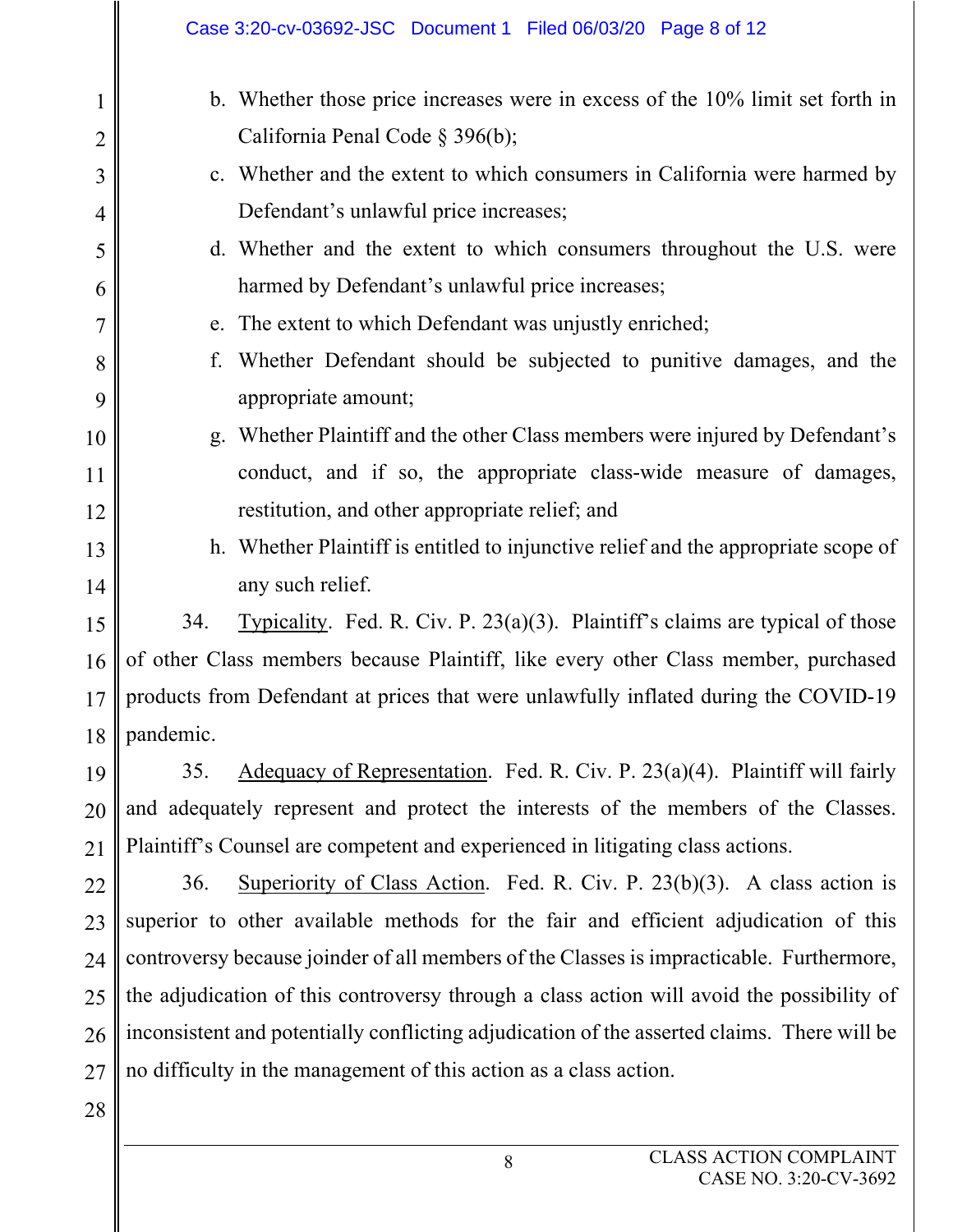|                               |                                                                                             | Case 3:20-cv-03692-JSC Document 1 Filed 06/03/20 Page 8 of 12                                                    |  |  |  |  |  |
|-------------------------------|---------------------------------------------------------------------------------------------|------------------------------------------------------------------------------------------------------------------|--|--|--|--|--|
| $\mathbf 1$<br>$\overline{2}$ |                                                                                             | b. Whether those price increases were in excess of the 10% limit set forth in<br>California Penal Code § 396(b); |  |  |  |  |  |
| 3                             |                                                                                             | c. Whether and the extent to which consumers in California were harmed by                                        |  |  |  |  |  |
| 4                             |                                                                                             | Defendant's unlawful price increases;                                                                            |  |  |  |  |  |
| 5                             |                                                                                             | d. Whether and the extent to which consumers throughout the U.S. were                                            |  |  |  |  |  |
| 6                             |                                                                                             | harmed by Defendant's unlawful price increases;                                                                  |  |  |  |  |  |
| $\overline{7}$                |                                                                                             | e. The extent to which Defendant was unjustly enriched;                                                          |  |  |  |  |  |
| 8                             | f.                                                                                          | Whether Defendant should be subjected to punitive damages, and the                                               |  |  |  |  |  |
| 9                             |                                                                                             | appropriate amount;                                                                                              |  |  |  |  |  |
| 10                            |                                                                                             | g. Whether Plaintiff and the other Class members were injured by Defendant's                                     |  |  |  |  |  |
| 11                            |                                                                                             | conduct, and if so, the appropriate class-wide measure of damages,                                               |  |  |  |  |  |
| 12                            |                                                                                             | restitution, and other appropriate relief; and                                                                   |  |  |  |  |  |
| 13                            |                                                                                             | h. Whether Plaintiff is entitled to injunctive relief and the appropriate scope of                               |  |  |  |  |  |
| 14                            |                                                                                             | any such relief.                                                                                                 |  |  |  |  |  |
| 15                            | 34.                                                                                         | Typicality. Fed. R. Civ. P. $23(a)(3)$ . Plaintiff's claims are typical of those                                 |  |  |  |  |  |
| 16                            |                                                                                             | of other Class members because Plaintiff, like every other Class member, purchased                               |  |  |  |  |  |
|                               |                                                                                             | 17    products from Defendant at prices that were unlawfully inflated during the COVID-19                        |  |  |  |  |  |
| 18                            | pandemic.                                                                                   |                                                                                                                  |  |  |  |  |  |
| 19                            | 35.                                                                                         | Adequacy of Representation. Fed. R. Civ. P. $23(a)(4)$ . Plaintiff will fairly                                   |  |  |  |  |  |
| 20                            |                                                                                             | and adequately represent and protect the interests of the members of the Classes.                                |  |  |  |  |  |
| 21                            |                                                                                             | Plaintiff's Counsel are competent and experienced in litigating class actions.                                   |  |  |  |  |  |
| 22                            | 36.                                                                                         | Superiority of Class Action. Fed. R. Civ. P. $23(b)(3)$ . A class action is                                      |  |  |  |  |  |
| 23                            |                                                                                             | superior to other available methods for the fair and efficient adjudication of this                              |  |  |  |  |  |
| 24                            |                                                                                             | controversy because joinder of all members of the Classes is impracticable. Furthermore,                         |  |  |  |  |  |
| 25                            |                                                                                             | the adjudication of this controversy through a class action will avoid the possibility of                        |  |  |  |  |  |
| 26                            | inconsistent and potentially conflicting adjudication of the asserted claims. There will be |                                                                                                                  |  |  |  |  |  |
| 27                            |                                                                                             | no difficulty in the management of this action as a class action.                                                |  |  |  |  |  |
| 28                            |                                                                                             |                                                                                                                  |  |  |  |  |  |
|                               |                                                                                             | <b>CLASS ACTION COMPLAINT</b><br>8                                                                               |  |  |  |  |  |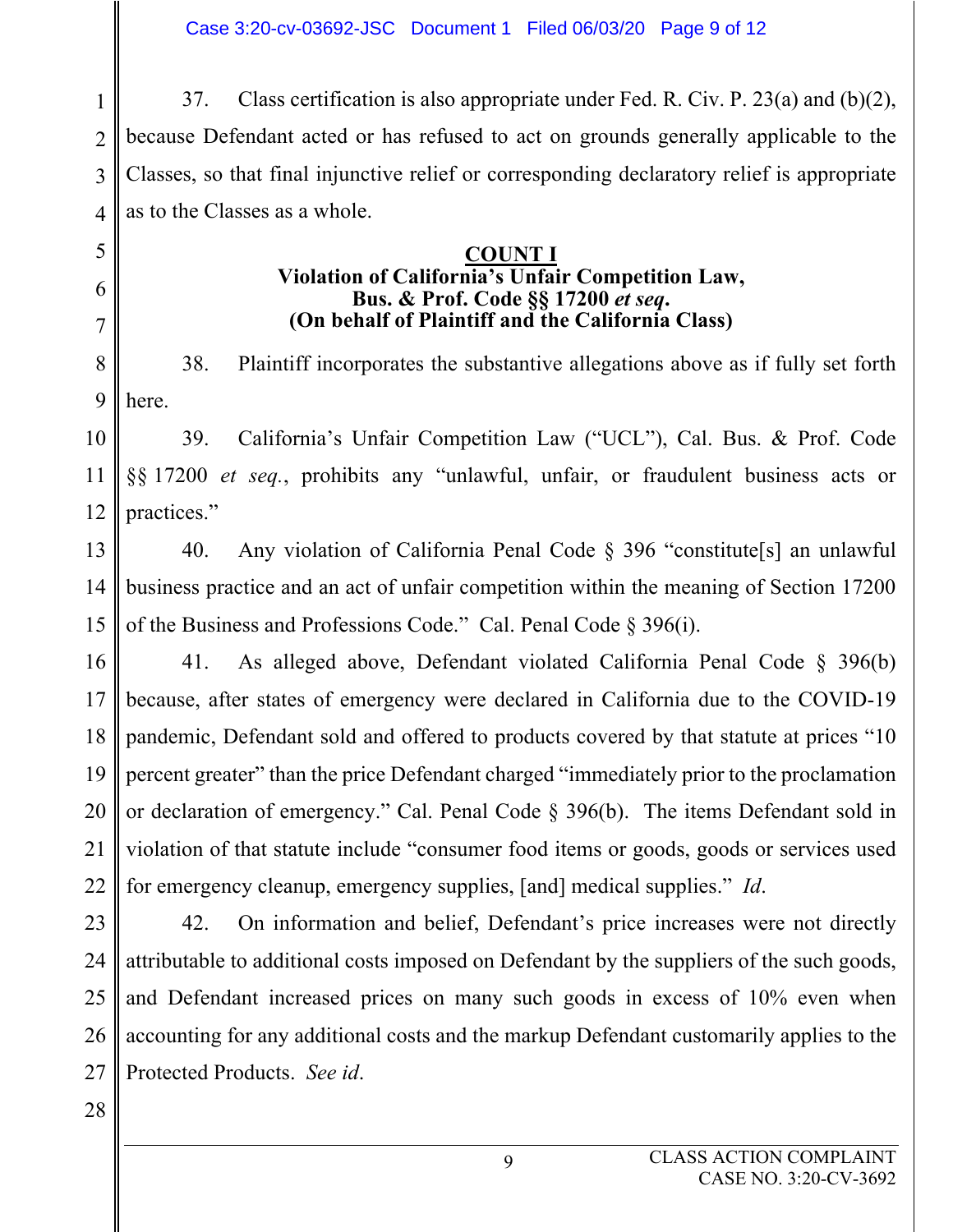1  $\mathfrak{D}$ 3 4 37. Class certification is also appropriate under Fed. R. Civ. P. 23(a) and (b)(2), because Defendant acted or has refused to act on grounds generally applicable to the Classes, so that final injunctive relief or corresponding declaratory relief is appropriate as to the Classes as a whole.

#### **COUNT I Violation of California's Unfair Competition Law, Bus. & Prof. Code §§ 17200** *et seq***. (On behalf of Plaintiff and the California Class)**

8 9 38. Plaintiff incorporates the substantive allegations above as if fully set forth here.

10 11 12 39. California's Unfair Competition Law ("UCL"), Cal. Bus. & Prof. Code §§ 17200 *et seq.*, prohibits any "unlawful, unfair, or fraudulent business acts or practices."

13 14 15 40. Any violation of California Penal Code § 396 "constitute[s] an unlawful business practice and an act of unfair competition within the meaning of Section 17200 of the Business and Professions Code." Cal. Penal Code § 396(i).

16 17 18 19 20 21 22 41. As alleged above, Defendant violated California Penal Code § 396(b) because, after states of emergency were declared in California due to the COVID-19 pandemic, Defendant sold and offered to products covered by that statute at prices "10 percent greater" than the price Defendant charged "immediately prior to the proclamation or declaration of emergency." Cal. Penal Code § 396(b). The items Defendant sold in violation of that statute include "consumer food items or goods, goods or services used for emergency cleanup, emergency supplies, [and] medical supplies." *Id*.

23 24 25 26 27 42. On information and belief, Defendant's price increases were not directly attributable to additional costs imposed on Defendant by the suppliers of the such goods, and Defendant increased prices on many such goods in excess of 10% even when accounting for any additional costs and the markup Defendant customarily applies to the Protected Products. *See id*.

28

5

6

7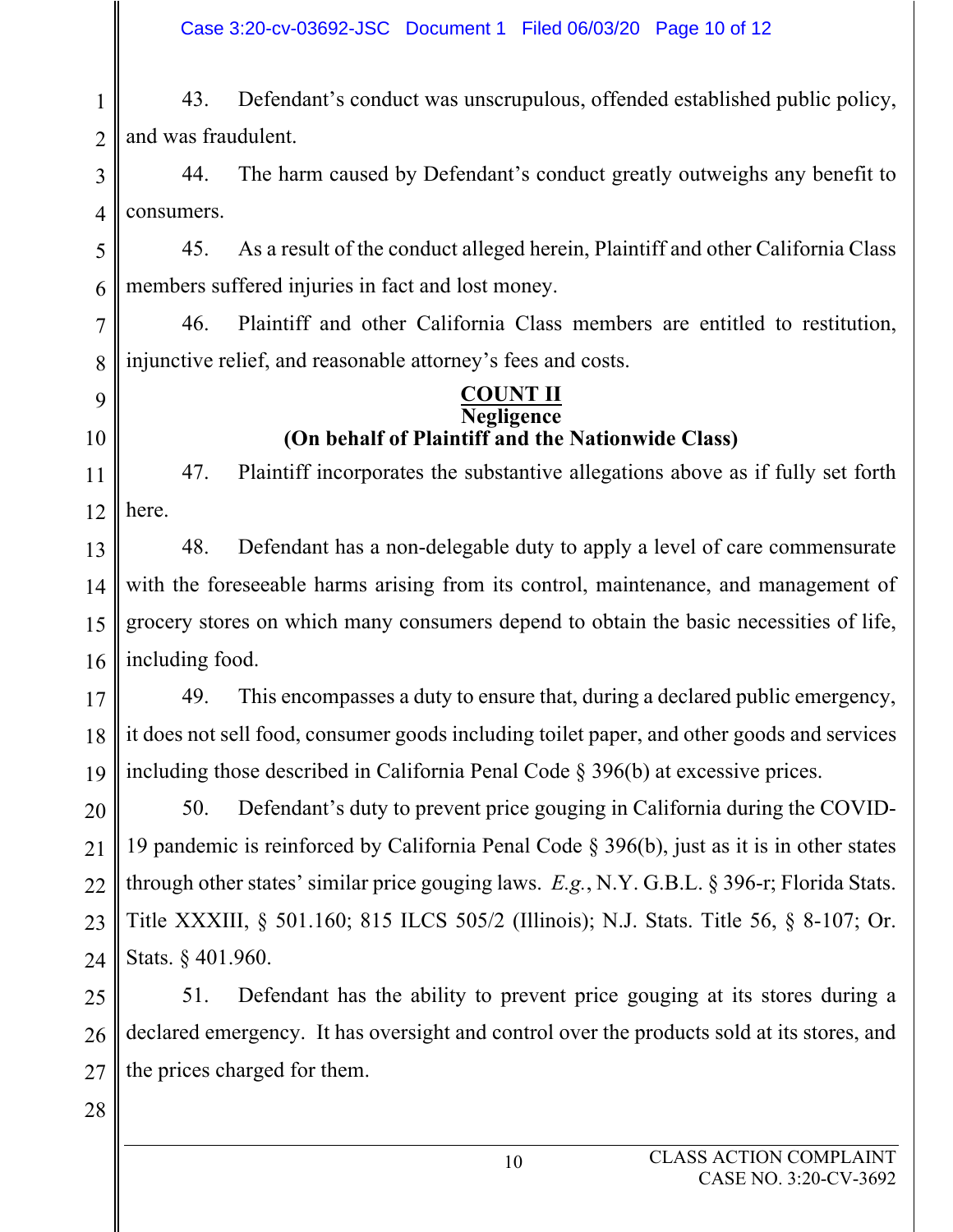1 2 43. Defendant's conduct was unscrupulous, offended established public policy, and was fraudulent.

3 4 44. The harm caused by Defendant's conduct greatly outweighs any benefit to consumers.

5 6 45. As a result of the conduct alleged herein, Plaintiff and other California Class members suffered injuries in fact and lost money.

7 8 46. Plaintiff and other California Class members are entitled to restitution, injunctive relief, and reasonable attorney's fees and costs.

# 9

10

**COUNT II Negligence (On behalf of Plaintiff and the Nationwide Class)**

11 12 47. Plaintiff incorporates the substantive allegations above as if fully set forth here.

13 14 15 16 48. Defendant has a non-delegable duty to apply a level of care commensurate with the foreseeable harms arising from its control, maintenance, and management of grocery stores on which many consumers depend to obtain the basic necessities of life, including food.

17 18 19 49. This encompasses a duty to ensure that, during a declared public emergency, it does not sell food, consumer goods including toilet paper, and other goods and services including those described in California Penal Code § 396(b) at excessive prices.

20 21 22 23 24 50. Defendant's duty to prevent price gouging in California during the COVID-19 pandemic is reinforced by California Penal Code § 396(b), just as it is in other states through other states' similar price gouging laws. *E.g.*, N.Y. G.B.L. § 396-r; Florida Stats. Title XXXIII, § 501.160; 815 ILCS 505/2 (Illinois); N.J. Stats. Title 56, § 8-107; Or. Stats. § 401.960.

25 26 27 51. Defendant has the ability to prevent price gouging at its stores during a declared emergency. It has oversight and control over the products sold at its stores, and the prices charged for them.

28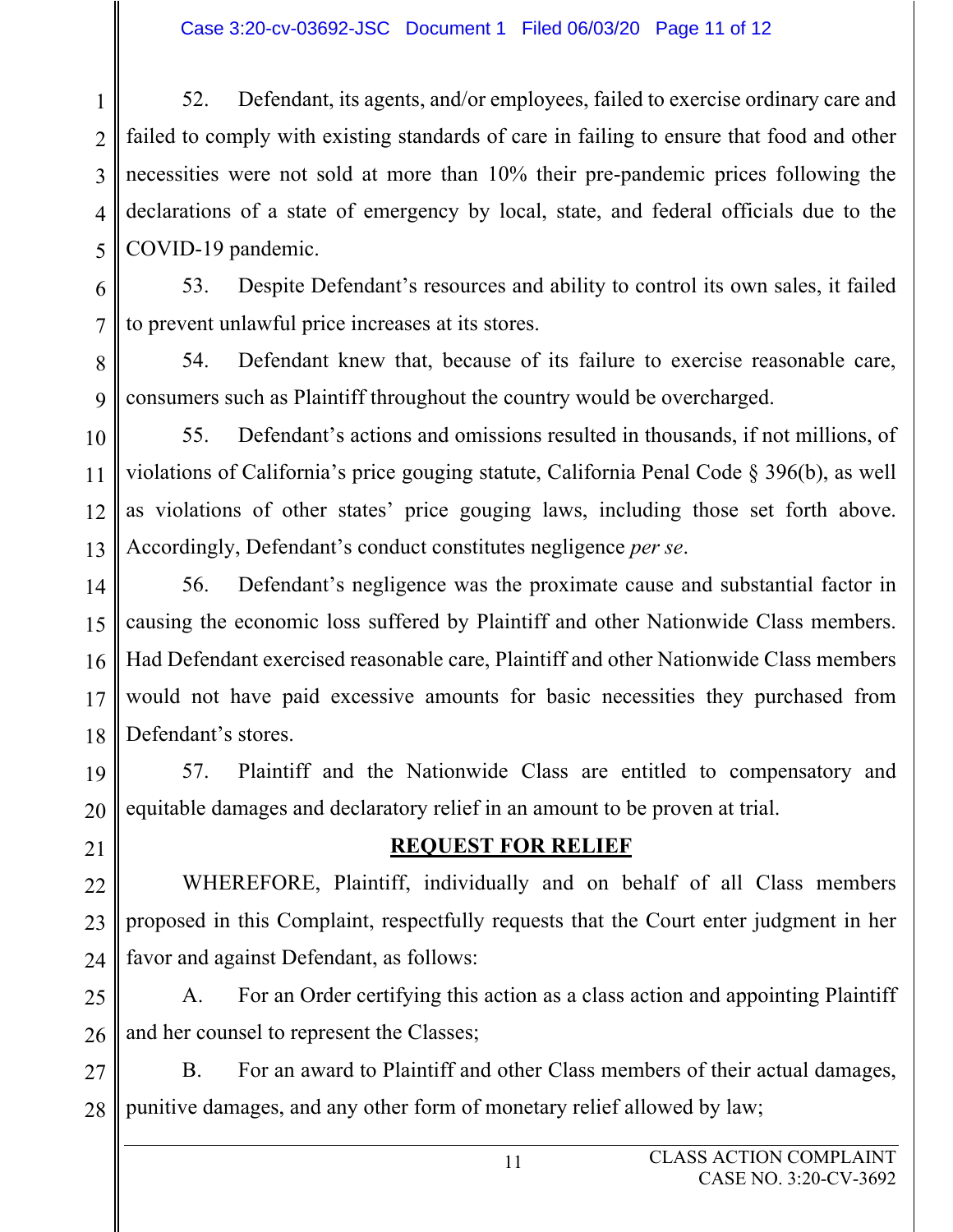1  $\mathfrak{D}$ 3 4 5 52. Defendant, its agents, and/or employees, failed to exercise ordinary care and failed to comply with existing standards of care in failing to ensure that food and other necessities were not sold at more than 10% their pre-pandemic prices following the declarations of a state of emergency by local, state, and federal officials due to the COVID-19 pandemic.

6 7 53. Despite Defendant's resources and ability to control its own sales, it failed to prevent unlawful price increases at its stores.

8 9 54. Defendant knew that, because of its failure to exercise reasonable care, consumers such as Plaintiff throughout the country would be overcharged.

10 11 12 13 55. Defendant's actions and omissions resulted in thousands, if not millions, of violations of California's price gouging statute, California Penal Code § 396(b), as well as violations of other states' price gouging laws, including those set forth above. Accordingly, Defendant's conduct constitutes negligence *per se*.

14 15 16 17 18 56. Defendant's negligence was the proximate cause and substantial factor in causing the economic loss suffered by Plaintiff and other Nationwide Class members. Had Defendant exercised reasonable care, Plaintiff and other Nationwide Class members would not have paid excessive amounts for basic necessities they purchased from Defendant's stores.

19 20 57. Plaintiff and the Nationwide Class are entitled to compensatory and equitable damages and declaratory relief in an amount to be proven at trial.

21

# **REQUEST FOR RELIEF**

22 23 24 WHEREFORE, Plaintiff, individually and on behalf of all Class members proposed in this Complaint, respectfully requests that the Court enter judgment in her favor and against Defendant, as follows:

25 26 A. For an Order certifying this action as a class action and appointing Plaintiff and her counsel to represent the Classes;

27 28 B. For an award to Plaintiff and other Class members of their actual damages, punitive damages, and any other form of monetary relief allowed by law;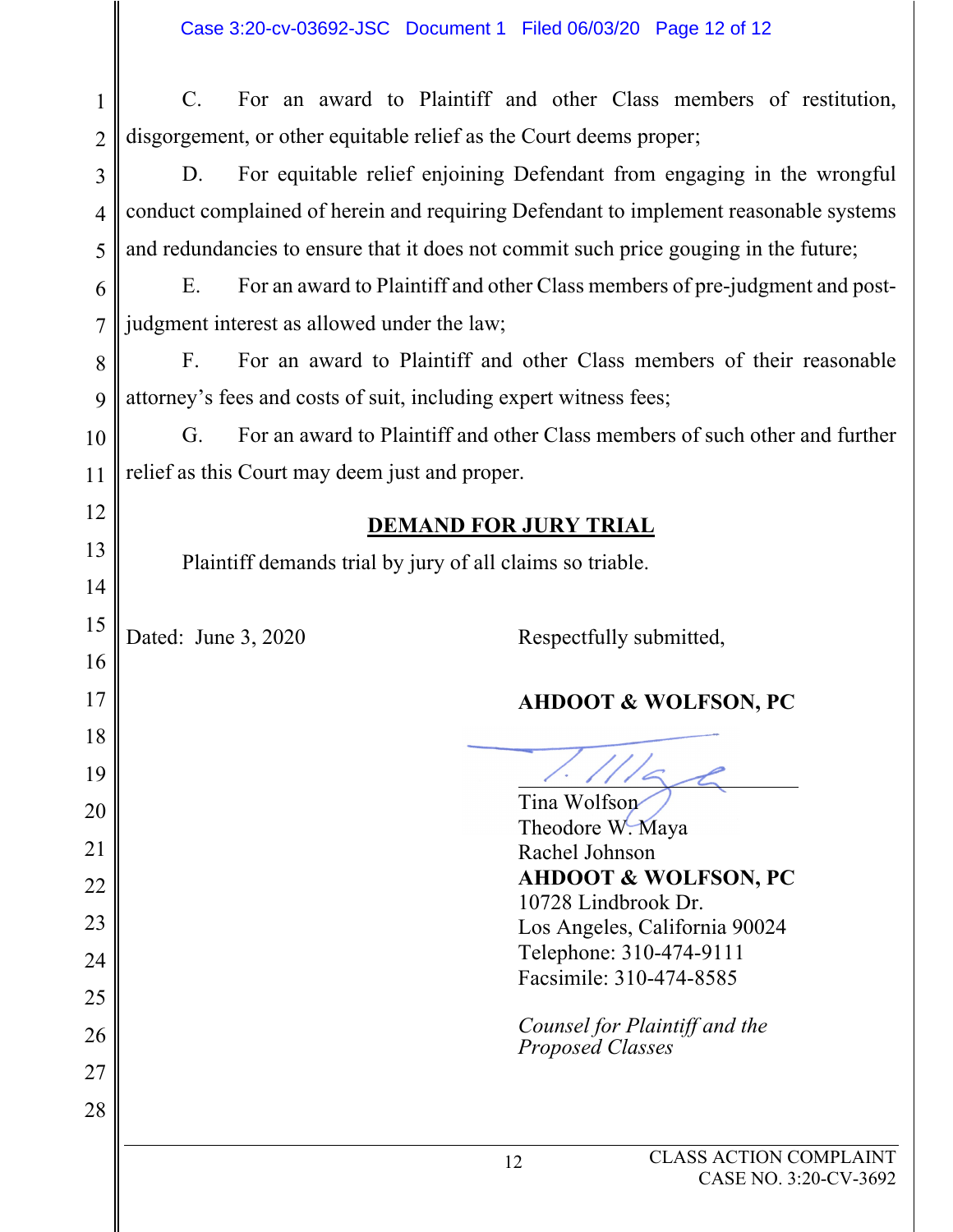| $\mathbf{1}$   | $C_{\cdot}$                                          |                                                                                      | For an award to Plaintiff and other Class members of restitution,           |  |  |  |  |  |  |  |  |
|----------------|------------------------------------------------------|--------------------------------------------------------------------------------------|-----------------------------------------------------------------------------|--|--|--|--|--|--|--|--|
| $\overline{2}$ |                                                      | disgorgement, or other equitable relief as the Court deems proper;                   |                                                                             |  |  |  |  |  |  |  |  |
| $\overline{3}$ | D.                                                   |                                                                                      | For equitable relief enjoining Defendant from engaging in the wrongful      |  |  |  |  |  |  |  |  |
| $\overline{4}$ |                                                      | conduct complained of herein and requiring Defendant to implement reasonable systems |                                                                             |  |  |  |  |  |  |  |  |
| 5              |                                                      | and redundancies to ensure that it does not commit such price gouging in the future; |                                                                             |  |  |  |  |  |  |  |  |
| 6              | E.                                                   | For an award to Plaintiff and other Class members of pre-judgment and post-          |                                                                             |  |  |  |  |  |  |  |  |
| $\overline{7}$ |                                                      | judgment interest as allowed under the law;                                          |                                                                             |  |  |  |  |  |  |  |  |
| 8              | $F_{\cdot}$                                          | For an award to Plaintiff and other Class members of their reasonable                |                                                                             |  |  |  |  |  |  |  |  |
| 9              |                                                      | attorney's fees and costs of suit, including expert witness fees;                    |                                                                             |  |  |  |  |  |  |  |  |
| 10             | G.                                                   |                                                                                      | For an award to Plaintiff and other Class members of such other and further |  |  |  |  |  |  |  |  |
| 11             | relief as this Court may deem just and proper.       |                                                                                      |                                                                             |  |  |  |  |  |  |  |  |
| 12             |                                                      |                                                                                      |                                                                             |  |  |  |  |  |  |  |  |
| 13             |                                                      |                                                                                      | <b>DEMAND FOR JURY TRIAL</b>                                                |  |  |  |  |  |  |  |  |
| 14             |                                                      | Plaintiff demands trial by jury of all claims so triable.                            |                                                                             |  |  |  |  |  |  |  |  |
| 15             |                                                      |                                                                                      |                                                                             |  |  |  |  |  |  |  |  |
| 16             | Dated: June 3, 2020                                  |                                                                                      | Respectfully submitted,                                                     |  |  |  |  |  |  |  |  |
| 17             |                                                      |                                                                                      | <b>AHDOOT &amp; WOLFSON, PC</b>                                             |  |  |  |  |  |  |  |  |
| 18             |                                                      |                                                                                      |                                                                             |  |  |  |  |  |  |  |  |
| 19             |                                                      |                                                                                      |                                                                             |  |  |  |  |  |  |  |  |
| 20             |                                                      |                                                                                      | Tina Wolfson                                                                |  |  |  |  |  |  |  |  |
|                |                                                      |                                                                                      | Theodore W. Maya                                                            |  |  |  |  |  |  |  |  |
| 21             | Rachel Johnson                                       |                                                                                      |                                                                             |  |  |  |  |  |  |  |  |
| 22             | <b>AHDOOT &amp; WOLFSON, PC</b>                      |                                                                                      |                                                                             |  |  |  |  |  |  |  |  |
| 23             | 10728 Lindbrook Dr.<br>Los Angeles, California 90024 |                                                                                      |                                                                             |  |  |  |  |  |  |  |  |
| 24             | Telephone: 310-474-9111                              |                                                                                      |                                                                             |  |  |  |  |  |  |  |  |
|                |                                                      |                                                                                      | Facsimile: 310-474-8585                                                     |  |  |  |  |  |  |  |  |
| 25             |                                                      |                                                                                      | Counsel for Plaintiff and the                                               |  |  |  |  |  |  |  |  |
| 26             |                                                      |                                                                                      | <b>Proposed Classes</b>                                                     |  |  |  |  |  |  |  |  |
| 27             |                                                      |                                                                                      |                                                                             |  |  |  |  |  |  |  |  |
| 28             |                                                      |                                                                                      |                                                                             |  |  |  |  |  |  |  |  |
|                |                                                      |                                                                                      | <b>CLASS ACTION COMPLAINT</b><br>12<br>CASE NO. 3:20-CV-3692                |  |  |  |  |  |  |  |  |